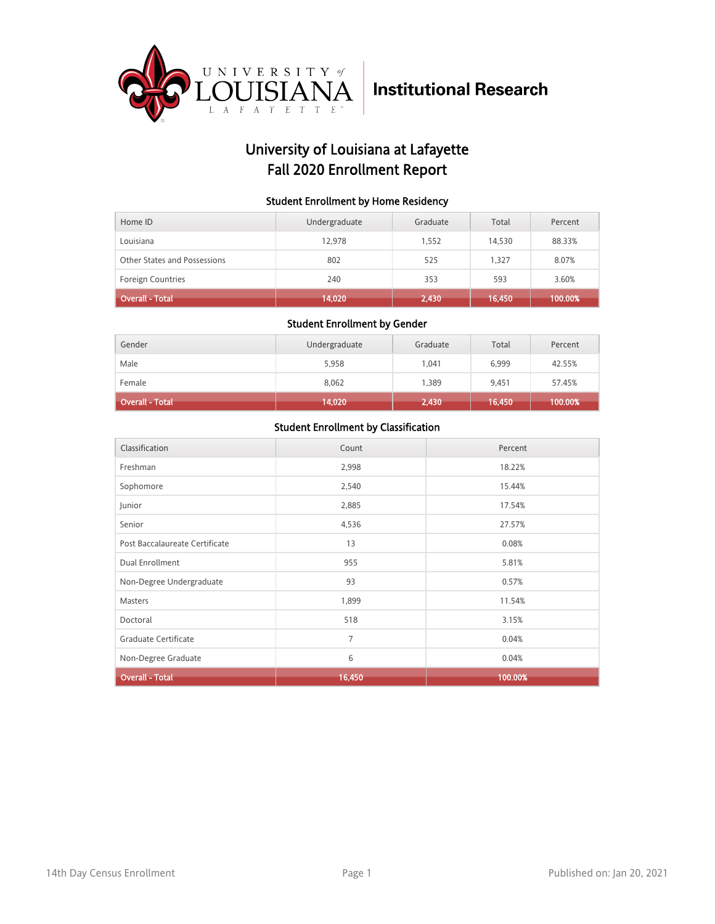

## University of Louisiana at Lafayette Fall 2020 Enrollment Report

#### Student Enrollment by Home Residency

| Home ID                      | Undergraduate | Graduate | Total  | Percent |
|------------------------------|---------------|----------|--------|---------|
| Louisiana                    | 12.978        | 1.552    | 14,530 | 88.33%  |
| Other States and Possessions | 802           | 525      | 1.327  | 8.07%   |
| <b>Foreign Countries</b>     | 240           | 353      | 593    | 3.60%   |
| <b>Overall - Total</b>       | 14,020        | 2,430    | 16,450 | 100.00% |

#### Student Enrollment by Gender

| Gender          | Undergraduate | Graduate | Total  | Percent |
|-----------------|---------------|----------|--------|---------|
| Male            | 5,958         | 1,041    | 6,999  | 42.55%  |
| Female          | 8,062         | 1,389    | 9.451  | 57.45%  |
| Overall - Total | 14,020        | 2,430    | 16,450 | 100.00% |

| Classification                 | Count  | Percent |
|--------------------------------|--------|---------|
| Freshman                       | 2,998  | 18.22%  |
| Sophomore                      | 2,540  | 15.44%  |
| Junior                         | 2,885  | 17.54%  |
| Senior                         | 4,536  | 27.57%  |
| Post Baccalaureate Certificate | 13     | 0.08%   |
| Dual Enrollment                | 955    | 5.81%   |
| Non-Degree Undergraduate       | 93     | 0.57%   |
| Masters                        | 1,899  | 11.54%  |
| Doctoral                       | 518    | 3.15%   |
| Graduate Certificate           | 7      | 0.04%   |
| Non-Degree Graduate            | 6      | 0.04%   |
| <b>Overall - Total</b>         | 16,450 | 100.00% |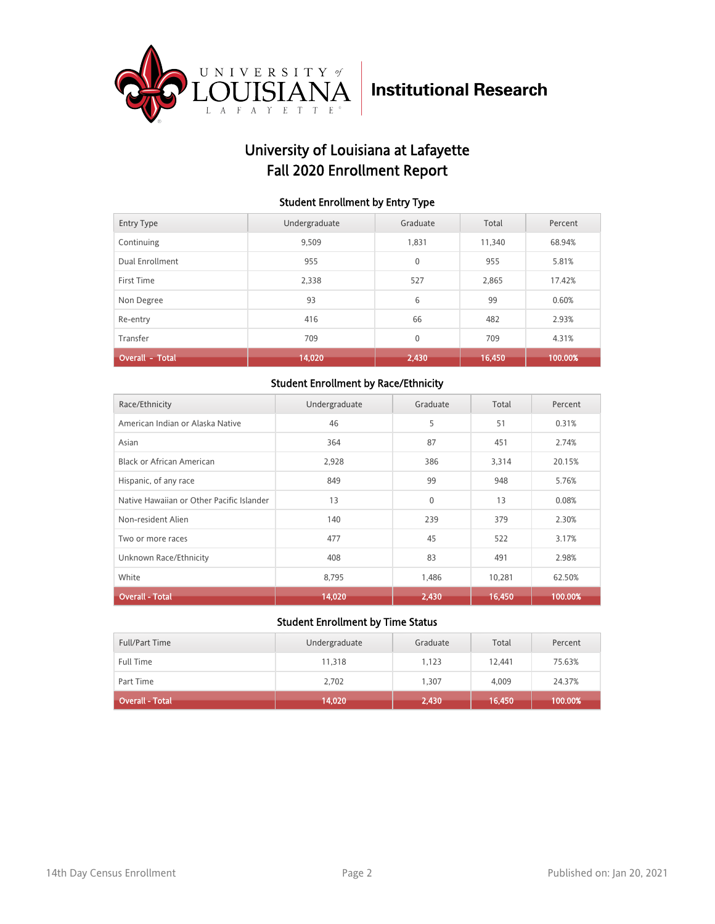

## University of Louisiana at Lafayette Fall 2020 Enrollment Report

#### Student Enrollment by Entry Type

| <b>Entry Type</b>      | Undergraduate | Graduate     | Total  | Percent |
|------------------------|---------------|--------------|--------|---------|
| Continuing             | 9.509         | 1,831        | 11,340 | 68.94%  |
| Dual Enrollment        | 955           | $\mathbf{0}$ | 955    | 5.81%   |
| First Time             | 2.338         | 527          | 2.865  | 17.42%  |
| Non Degree             | 93            | 6            | 99     | 0.60%   |
| Re-entry               | 416           | 66           | 482    | 2.93%   |
| Transfer               | 709           | $\mathbf{0}$ | 709    | 4.31%   |
| <b>Overall - Total</b> | 14,020        | 2,430        | 16,450 | 100.00% |

#### Student Enrollment by Race/Ethnicity

| Race/Ethnicity                            | Undergraduate | Graduate | Total  | Percent |
|-------------------------------------------|---------------|----------|--------|---------|
| American Indian or Alaska Native          | 46            | 5        | 51     | 0.31%   |
| Asian                                     | 364           | 87       | 451    | 2.74%   |
| Black or African American                 | 2,928         | 386      | 3,314  | 20.15%  |
| Hispanic, of any race                     | 849           | 99       | 948    | 5.76%   |
| Native Hawaiian or Other Pacific Islander | 13            | $\Omega$ | 13     | 0.08%   |
| Non-resident Alien                        | 140           | 239      | 379    | 2.30%   |
| Two or more races                         | 477           | 45       | 522    | 3.17%   |
| Unknown Race/Ethnicity                    | 408           | 83       | 491    | 2.98%   |
| White                                     | 8,795         | 1,486    | 10,281 | 62.50%  |
| <b>Overall - Total</b>                    | 14,020        | 2,430    | 16,450 | 100.00% |

| <b>Full/Part Time</b> | Undergraduate | Graduate | Total  | Percent |
|-----------------------|---------------|----------|--------|---------|
| <b>Full Time</b>      | 11.318        | 1.123    | 12,441 | 75.63%  |
| Part Time             | 2,702         | 1.307    | 4,009  | 24.37%  |
| Overall - Total       | 14,020        | 2,430    | 16,450 | 100.00% |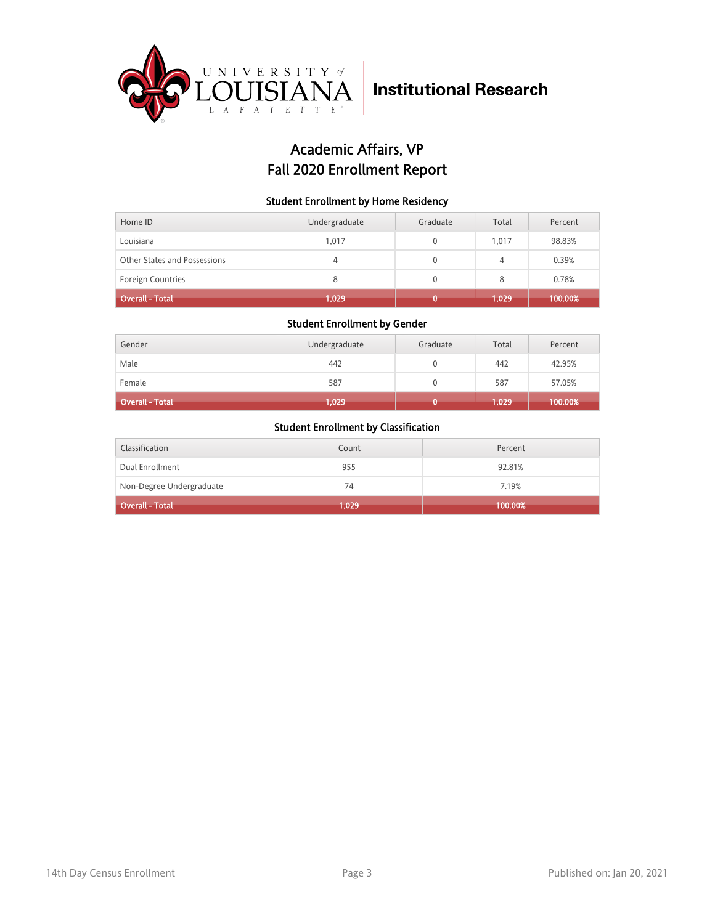

## Academic Affairs, VP Fall 2020 Enrollment Report

#### Student Enrollment by Home Residency

| Home ID                      | Undergraduate | Graduate | Total | Percent |
|------------------------------|---------------|----------|-------|---------|
| Louisiana                    | 1.017         |          | 1.017 | 98.83%  |
| Other States and Possessions | 4             | 0        | 4     | 0.39%   |
| <b>Foreign Countries</b>     | 8             |          | 8     | 0.78%   |
| <b>Overall - Total</b>       | 1,029         |          | 1,029 | 100.00% |

#### Student Enrollment by Gender

| Gender                 | Undergraduate | Graduate | Total | Percent |
|------------------------|---------------|----------|-------|---------|
| Male                   | 442           |          | 442   | 42.95%  |
| Female                 | 587           |          | 587   | 57.05%  |
| <b>Overall - Total</b> | 1,029         |          | 1,029 | 100.00% |

| Classification           | Count | Percent |
|--------------------------|-------|---------|
| Dual Enrollment          | 955   | 92.81%  |
| Non-Degree Undergraduate | 74    | 7.19%   |
| <b>Overall - Total</b>   | 1,029 | 100.00% |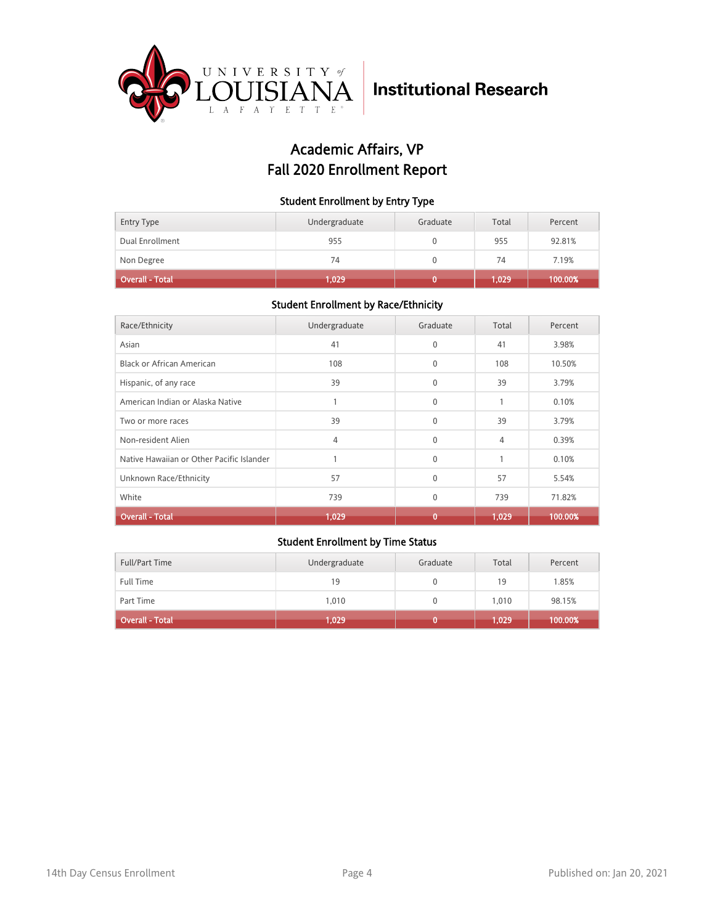

## Academic Affairs, VP Fall 2020 Enrollment Report

#### Student Enrollment by Entry Type

| Entry Type      | Undergraduate | Graduate | Total | Percent |
|-----------------|---------------|----------|-------|---------|
| Dual Enrollment | 955           |          | 955   | 92.81%  |
| Non Degree      | 74            |          | 74    | 7.19%   |
| Overall - Total | 1,029         |          | 1.029 | 100.00% |

#### Student Enrollment by Race/Ethnicity

| Race/Ethnicity                            | Undergraduate | Graduate     | Total | Percent |
|-------------------------------------------|---------------|--------------|-------|---------|
| Asian                                     | 41            | $\Omega$     | 41    | 3.98%   |
| Black or African American                 | 108           | $\mathbf{0}$ | 108   | 10.50%  |
| Hispanic, of any race                     | 39            | $\mathbf{0}$ | 39    | 3.79%   |
| American Indian or Alaska Native          |               | $\Omega$     | 1     | 0.10%   |
| Two or more races                         | 39            | $\mathbf{0}$ | 39    | 3.79%   |
| Non-resident Alien                        | 4             | $\Omega$     | 4     | 0.39%   |
| Native Hawaiian or Other Pacific Islander |               | $\mathbf{0}$ | 1     | 0.10%   |
| Unknown Race/Ethnicity                    | 57            | $\Omega$     | 57    | 5.54%   |
| White                                     | 739           | $\mathbf{0}$ | 739   | 71.82%  |
| Overall - Total                           | 1,029         | Ō            | 1.029 | 100.00% |

| Full/Part Time         | Undergraduate | Graduate | Total | Percent |
|------------------------|---------------|----------|-------|---------|
| <b>Full Time</b>       | 19            |          | 19    | 1.85%   |
| Part Time              | 1.010         |          | 1.010 | 98.15%  |
| <b>Overall - Total</b> | 1,029         |          | 1.029 | 100.00% |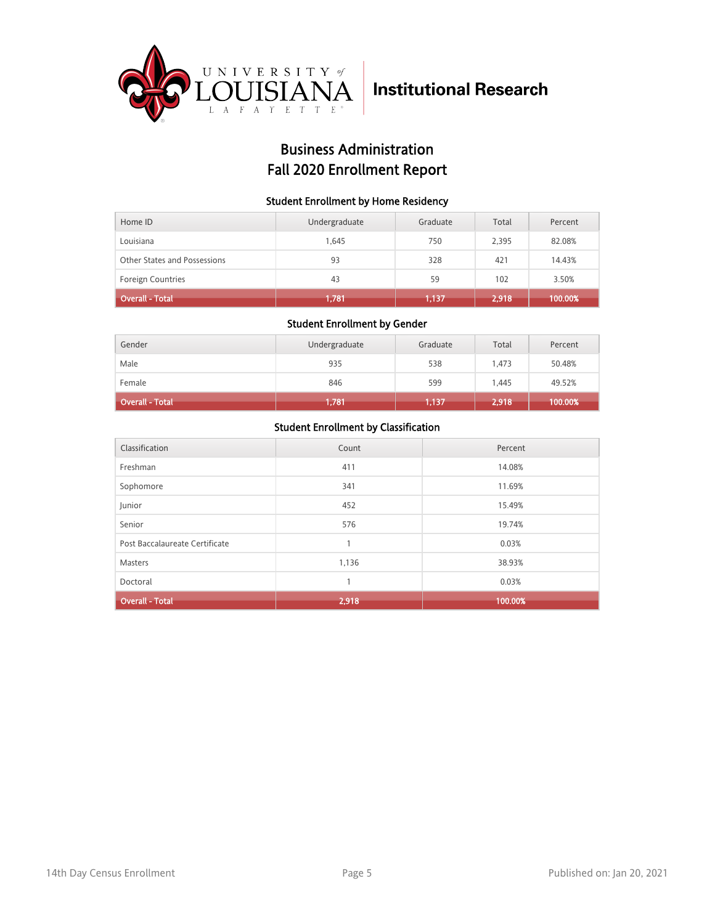

## Business Administration Fall 2020 Enrollment Report

#### Student Enrollment by Home Residency

| Home ID                      | Undergraduate | Graduate | Total | Percent |
|------------------------------|---------------|----------|-------|---------|
| Louisiana                    | 1.645         | 750      | 2,395 | 82.08%  |
| Other States and Possessions | 93            | 328      | 421   | 14.43%  |
| <b>Foreign Countries</b>     | 43            | 59       | 102   | 3.50%   |
| <b>Overall - Total</b>       | 1.781         | 1,137    | 2,918 | 100.00% |

#### Student Enrollment by Gender

| Gender                 | Undergraduate | Graduate | Total | Percent |
|------------------------|---------------|----------|-------|---------|
| Male                   | 935           | 538      | 1.473 | 50.48%  |
| Female                 | 846           | 599      | 1.445 | 49.52%  |
| <b>Overall - Total</b> | 1,781         | 1,137    | 2,918 | 100.00% |

| Classification                 | Count | Percent |
|--------------------------------|-------|---------|
| Freshman                       | 411   | 14.08%  |
| Sophomore                      | 341   | 11.69%  |
| Junior                         | 452   | 15.49%  |
| Senior                         | 576   | 19.74%  |
| Post Baccalaureate Certificate | 1     | 0.03%   |
| <b>Masters</b>                 | 1,136 | 38.93%  |
| Doctoral                       | 1     | 0.03%   |
| <b>Overall - Total</b>         | 2,918 | 100.00% |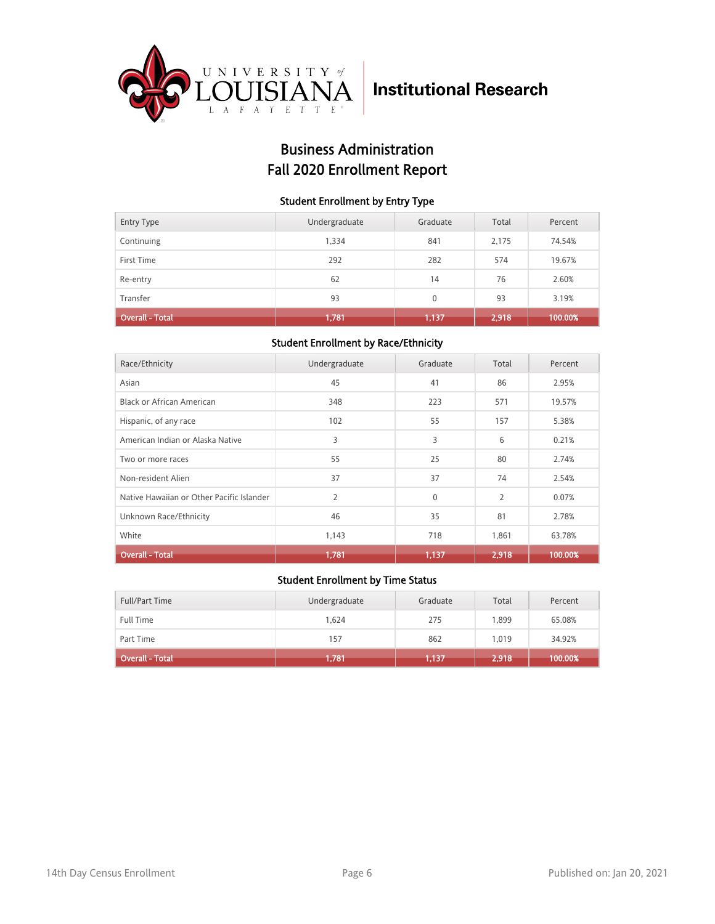

## Business Administration Fall 2020 Enrollment Report

#### Student Enrollment by Entry Type

| Entry Type             | Undergraduate | Graduate | Total | Percent |
|------------------------|---------------|----------|-------|---------|
| Continuing             | 1,334         | 841      | 2,175 | 74.54%  |
| First Time             | 292           | 282      | 574   | 19.67%  |
| Re-entry               | 62            | 14       | 76    | 2.60%   |
| Transfer               | 93            | $\Omega$ | 93    | 3.19%   |
| <b>Overall - Total</b> | 1,781         | 1,137    | 2,918 | 100.00% |

#### Student Enrollment by Race/Ethnicity

| Race/Ethnicity                            | Undergraduate  | Graduate | Total          | Percent |
|-------------------------------------------|----------------|----------|----------------|---------|
| Asian                                     | 45             | 41       | 86             | 2.95%   |
| Black or African American                 | 348            | 223      | 571            | 19.57%  |
| Hispanic, of any race                     | 102            | 55       | 157            | 5.38%   |
| American Indian or Alaska Native          | 3              | 3        | 6              | 0.21%   |
| Two or more races                         | 55             | 25       | 80             | 2.74%   |
| Non-resident Alien                        | 37             | 37       | 74             | 2.54%   |
| Native Hawaiian or Other Pacific Islander | $\overline{2}$ | $\Omega$ | $\overline{2}$ | 0.07%   |
| Unknown Race/Ethnicity                    | 46             | 35       | 81             | 2.78%   |
| White                                     | 1,143          | 718      | 1,861          | 63.78%  |
| <b>Overall - Total</b>                    | 1,781          | 1,137    | 2,918          | 100.00% |

| <b>Full/Part Time</b>  | Undergraduate | Graduate | Total | Percent |
|------------------------|---------------|----------|-------|---------|
| <b>Full Time</b>       | 1.624         | 275      | 1.899 | 65.08%  |
| Part Time              | 157           | 862      | 1.019 | 34.92%  |
| <b>Overall - Total</b> | 1,781         | 1,137    | 2,918 | 100.00% |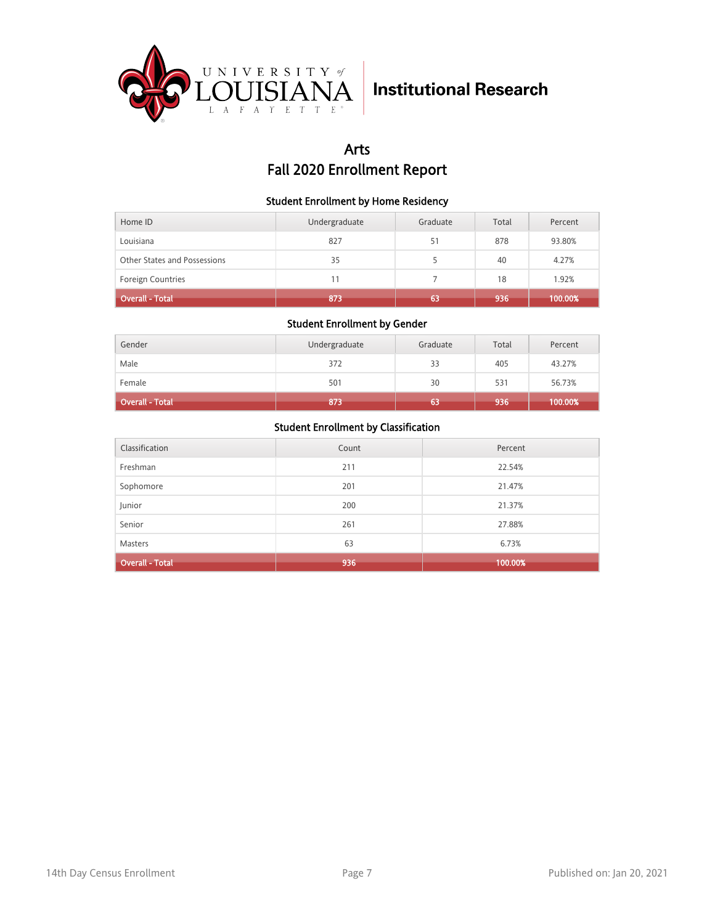

## Arts Fall 2020 Enrollment Report

#### Student Enrollment by Home Residency

| Home ID                      | Undergraduate | Graduate | Total | Percent |
|------------------------------|---------------|----------|-------|---------|
| Louisiana                    | 827           | 51       | 878   | 93.80%  |
| Other States and Possessions | 35            |          | 40    | 4.27%   |
| <b>Foreign Countries</b>     | 11            |          | 18    | 1.92%   |
| <b>Overall - Total</b>       | 873           | 63       | 936   | 100.00% |

#### Student Enrollment by Gender

| Gender                 | Undergraduate | Graduate | Total | Percent |
|------------------------|---------------|----------|-------|---------|
| Male                   | 372           | 33       | 405   | 43.27%  |
| Female                 | 501           | 30       | 531   | 56.73%  |
| <b>Overall - Total</b> | 873           | 63       | 936   | 100.00% |

| Classification         | Count | Percent |
|------------------------|-------|---------|
| Freshman               | 211   | 22.54%  |
| Sophomore              | 201   | 21.47%  |
| Junior                 | 200   | 21.37%  |
| Senior                 | 261   | 27.88%  |
| <b>Masters</b>         | 63    | 6.73%   |
| <b>Overall - Total</b> | 936   | 100.00% |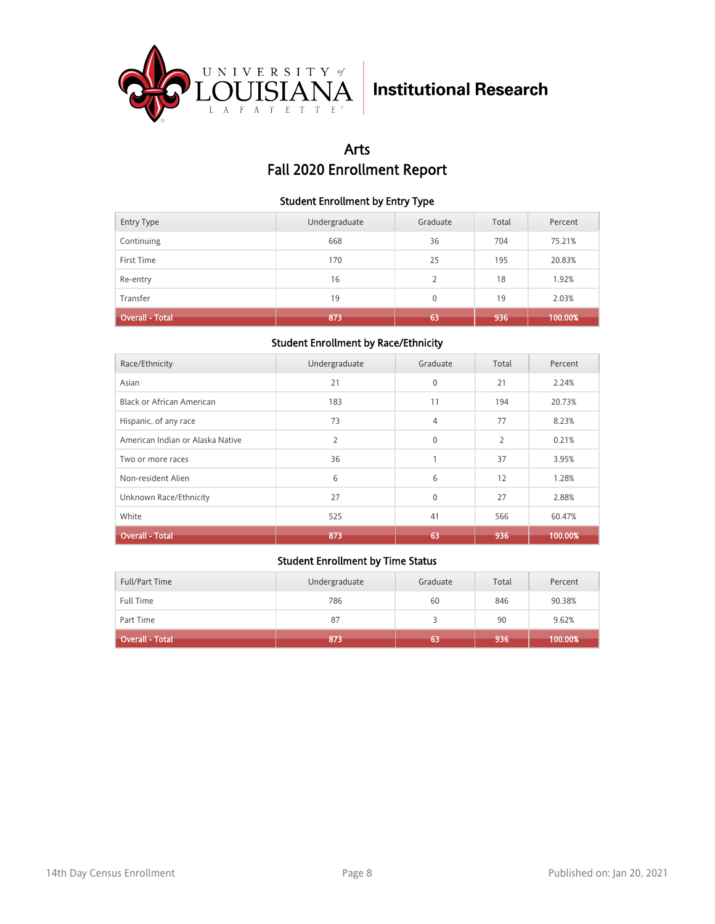

## Arts Fall 2020 Enrollment Report

#### Student Enrollment by Entry Type

| <b>Entry Type</b>      | Undergraduate | Graduate                 | Total | Percent |
|------------------------|---------------|--------------------------|-------|---------|
| Continuing             | 668           | 36                       | 704   | 75.21%  |
| First Time             | 170           | 25                       | 195   | 20.83%  |
| Re-entry               | 16            | $\overline{\phantom{a}}$ | 18    | 1.92%   |
| Transfer               | 19            | $\mathbf{0}$             | 19    | 2.03%   |
| <b>Overall - Total</b> | 873           | 63                       | 936   | 100.00% |

#### Student Enrollment by Race/Ethnicity

| Race/Ethnicity                   | Undergraduate  | Graduate     | Total          | Percent |
|----------------------------------|----------------|--------------|----------------|---------|
| Asian                            | 21             | $\mathbf{0}$ | 21             | 2.24%   |
| <b>Black or African American</b> | 183            | 11           | 194            | 20.73%  |
| Hispanic, of any race            | 73             | 4            | 77             | 8.23%   |
| American Indian or Alaska Native | $\overline{2}$ | $\Omega$     | $\overline{2}$ | 0.21%   |
| Two or more races                | 36             | 1            | 37             | 3.95%   |
| Non-resident Alien               | 6              | 6            | 12             | 1.28%   |
| Unknown Race/Ethnicity           | 27             | $\Omega$     | 27             | 2.88%   |
| White                            | 525            | 41           | 566            | 60.47%  |
| <b>Overall - Total</b>           | 873            | 63           | 936            | 100.00% |

| Full/Part Time         | Undergraduate | Graduate | Total | Percent |
|------------------------|---------------|----------|-------|---------|
| <b>Full Time</b>       | 786           | 60       | 846   | 90.38%  |
| Part Time              | 87            |          | 90    | 9.62%   |
| <b>Overall - Total</b> | 873           | 63       | 936   | 100.00% |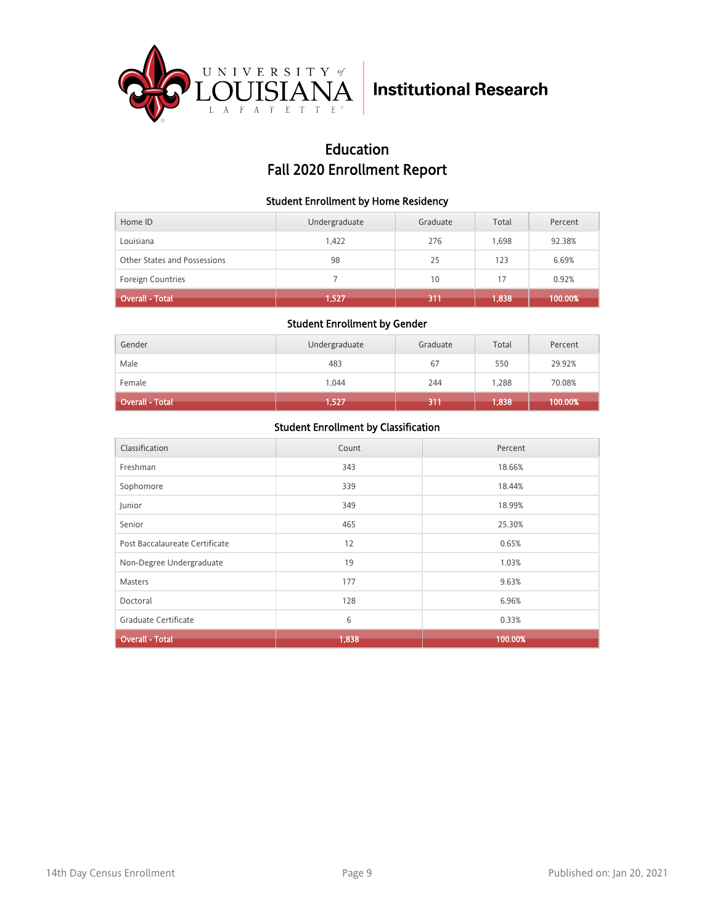

## Education Fall 2020 Enrollment Report

#### Student Enrollment by Home Residency

| Home ID                      | Undergraduate | Graduate | Total | Percent |
|------------------------------|---------------|----------|-------|---------|
| Louisiana                    | 1.422         | 276      | 1.698 | 92.38%  |
| Other States and Possessions | 98            | 25       | 123   | 6.69%   |
| <b>Foreign Countries</b>     |               | 10       | 17    | 0.92%   |
| <b>Overall - Total</b>       | 1,527         | 311      | 1,838 | 100.00% |

#### Student Enrollment by Gender

| Gender                 | Undergraduate | Graduate | Total | Percent |
|------------------------|---------------|----------|-------|---------|
| Male                   | 483           | 67       | 550   | 29.92%  |
| Female                 | 1,044         | 244      | 1,288 | 70.08%  |
| <b>Overall - Total</b> | 1,527         | 311      | 1,838 | 100.00% |

| Classification                 | Count | Percent |
|--------------------------------|-------|---------|
|                                |       |         |
| Freshman                       | 343   | 18.66%  |
| Sophomore                      | 339   | 18.44%  |
| Junior                         | 349   | 18.99%  |
| Senior                         | 465   | 25.30%  |
| Post Baccalaureate Certificate | 12    | 0.65%   |
| Non-Degree Undergraduate       | 19    | 1.03%   |
| <b>Masters</b>                 | 177   | 9.63%   |
| Doctoral                       | 128   | 6.96%   |
| Graduate Certificate           | 6     | 0.33%   |
| <b>Overall - Total</b>         | 1,838 | 100.00% |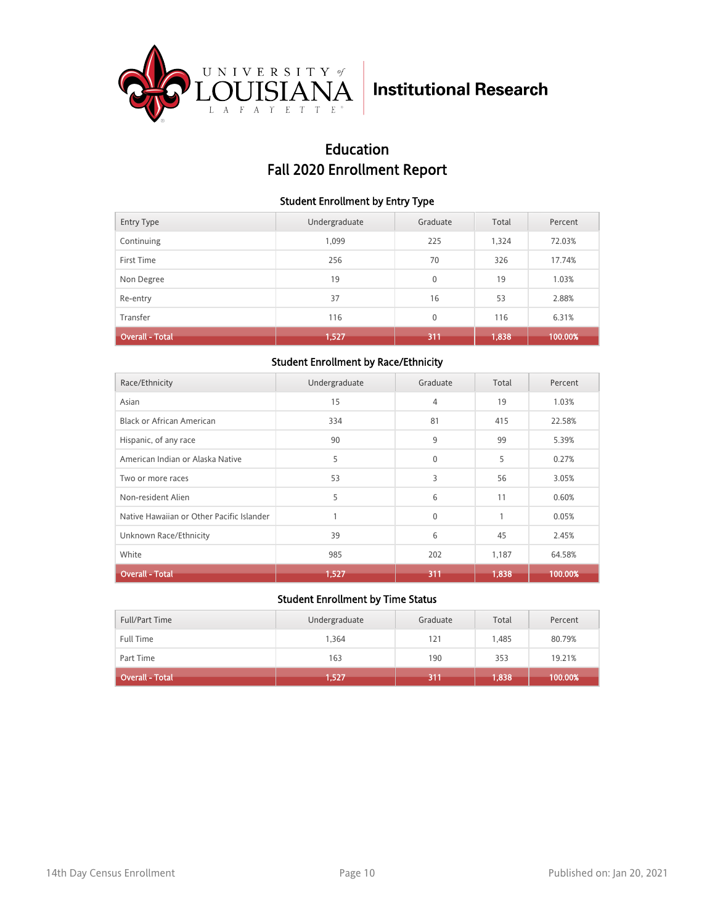

## Education Fall 2020 Enrollment Report

#### Student Enrollment by Entry Type

| <b>Entry Type</b>      | Undergraduate | Graduate     | Total | Percent |
|------------------------|---------------|--------------|-------|---------|
| Continuing             | 1,099         | 225          | 1,324 | 72.03%  |
| First Time             | 256           | 70           | 326   | 17.74%  |
| Non Degree             | 19            | $\mathbf{0}$ | 19    | 1.03%   |
| Re-entry               | 37            | 16           | 53    | 2.88%   |
| Transfer               | 116           | $\mathbf{0}$ | 116   | 6.31%   |
| <b>Overall - Total</b> | 1,527         | 311          | 1,838 | 100.00% |

#### Student Enrollment by Race/Ethnicity

| Race/Ethnicity                            | Undergraduate | Graduate     | Total | Percent |
|-------------------------------------------|---------------|--------------|-------|---------|
| Asian                                     | 15            | 4            | 19    | 1.03%   |
| Black or African American                 | 334           | 81           | 415   | 22.58%  |
| Hispanic, of any race                     | 90            | 9            | 99    | 5.39%   |
| American Indian or Alaska Native          | 5             | $\mathbf{0}$ | 5     | 0.27%   |
| Two or more races                         | 53            | 3            | 56    | 3.05%   |
| Non-resident Alien                        | 5             | 6            | 11    | 0.60%   |
| Native Hawaiian or Other Pacific Islander | 1             | $\mathbf{0}$ | 1     | 0.05%   |
| Unknown Race/Ethnicity                    | 39            | 6            | 45    | 2.45%   |
| White                                     | 985           | 202          | 1,187 | 64.58%  |
| <b>Overall - Total</b>                    | 1,527         | 311          | 1,838 | 100.00% |

| Full/Part Time         | Undergraduate | Graduate | Total | Percent |
|------------------------|---------------|----------|-------|---------|
| <b>Full Time</b>       | 1.364         | 121      | 1.485 | 80.79%  |
| Part Time              | 163           | 190      | 353   | 19.21%  |
| <b>Overall - Total</b> | 1,527         | 311      | 1,838 | 100.00% |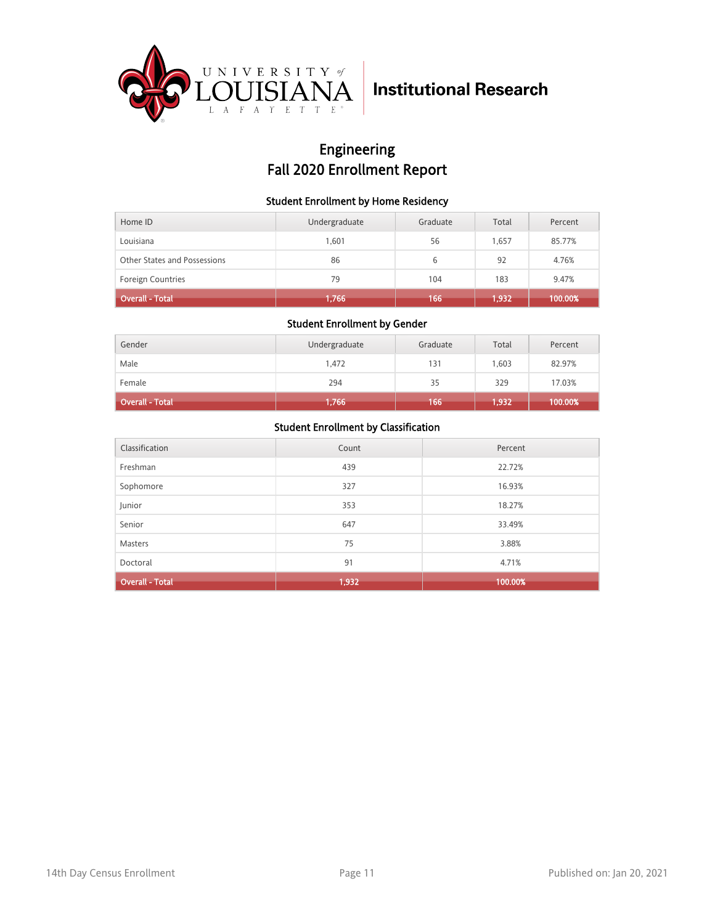

## Engineering Fall 2020 Enrollment Report

#### Student Enrollment by Home Residency

| Home ID                      | Undergraduate | Graduate | Total | Percent |
|------------------------------|---------------|----------|-------|---------|
| Louisiana                    | 1.601         | 56       | 1.657 | 85.77%  |
| Other States and Possessions | 86            | 6        | 92    | 4.76%   |
| <b>Foreign Countries</b>     | 79            | 104      | 183   | 9.47%   |
| <b>Overall - Total</b>       | 1,766         | 166      | 1,932 | 100.00% |

#### Student Enrollment by Gender

| Gender                 | Undergraduate | Graduate | Total    | Percent |
|------------------------|---------------|----------|----------|---------|
| Male                   | 1.472         | 131      | 1,603    | 82.97%  |
| Female                 | 294           | 35       | 329      | 17.03%  |
| <b>Overall - Total</b> | 1,766         | 166      | (1, 932) | 100.00% |

| Classification         | Count | Percent |
|------------------------|-------|---------|
| Freshman               | 439   | 22.72%  |
| Sophomore              | 327   | 16.93%  |
| Junior                 | 353   | 18.27%  |
| Senior                 | 647   | 33.49%  |
| <b>Masters</b>         | 75    | 3.88%   |
| Doctoral               | 91    | 4.71%   |
| <b>Overall - Total</b> | 1,932 | 100.00% |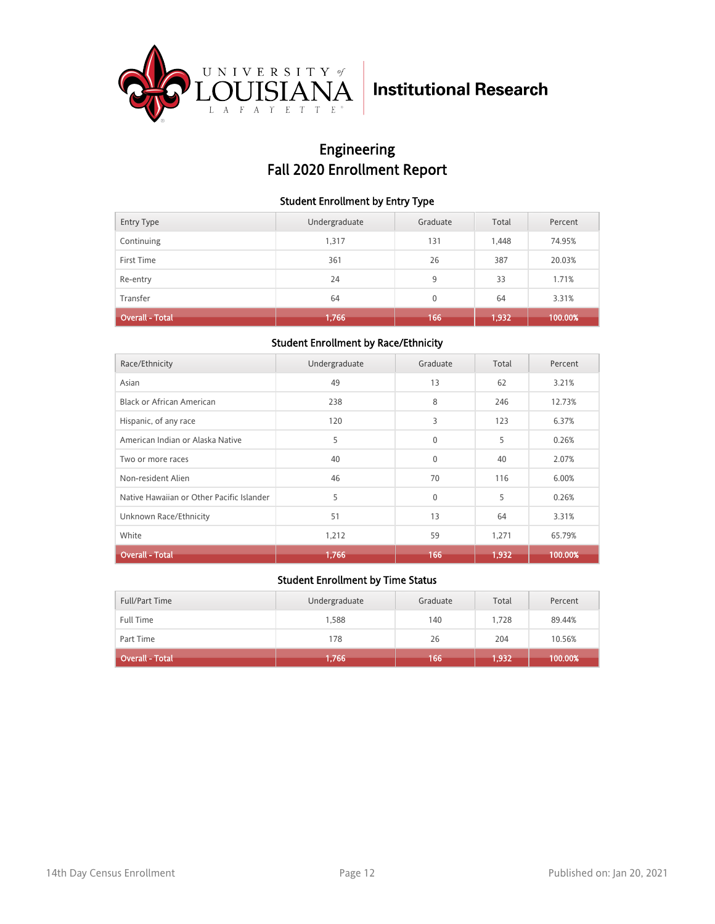

## Engineering Fall 2020 Enrollment Report

#### Student Enrollment by Entry Type

| <b>Entry Type</b> | Undergraduate | Graduate | Total | Percent |
|-------------------|---------------|----------|-------|---------|
| Continuing        | 1,317         | 131      | 1,448 | 74.95%  |
| First Time        | 361           | 26       | 387   | 20.03%  |
| Re-entry          | 24            | 9        | 33    | 1.71%   |
| Transfer          | 64            | $\Omega$ | 64    | 3.31%   |
| Overall - Total   | 1,766         | 166      | 1,932 | 100.00% |

#### Student Enrollment by Race/Ethnicity

| Race/Ethnicity                            | Undergraduate | Graduate     | Total | Percent |
|-------------------------------------------|---------------|--------------|-------|---------|
| Asian                                     | 49            | 13           | 62    | 3.21%   |
| Black or African American                 | 238           | 8            | 246   | 12.73%  |
| Hispanic, of any race                     | 120           | 3            | 123   | 6.37%   |
| American Indian or Alaska Native          | 5             | $\Omega$     | 5     | 0.26%   |
| Two or more races                         | 40            | $\mathbf{0}$ | 40    | 2.07%   |
| Non-resident Alien                        | 46            | 70           | 116   | 6.00%   |
| Native Hawaiian or Other Pacific Islander | 5             | $\Omega$     | 5     | 0.26%   |
| Unknown Race/Ethnicity                    | 51            | 13           | 64    | 3.31%   |
| White                                     | 1,212         | 59           | 1,271 | 65.79%  |
| <b>Overall - Total</b>                    | 1,766         | 166          | 1,932 | 100.00% |

| Full/Part Time               | Undergraduate | Graduate | Total | Percent |
|------------------------------|---------------|----------|-------|---------|
| <b>Full Time</b>             | 1.588         | 140      | 1.728 | 89.44%  |
| Part Time                    | 178           | 26       | 204   | 10.56%  |
| Overall - Total <sup>1</sup> | 1,766         | 166      | 1,932 | 100.00% |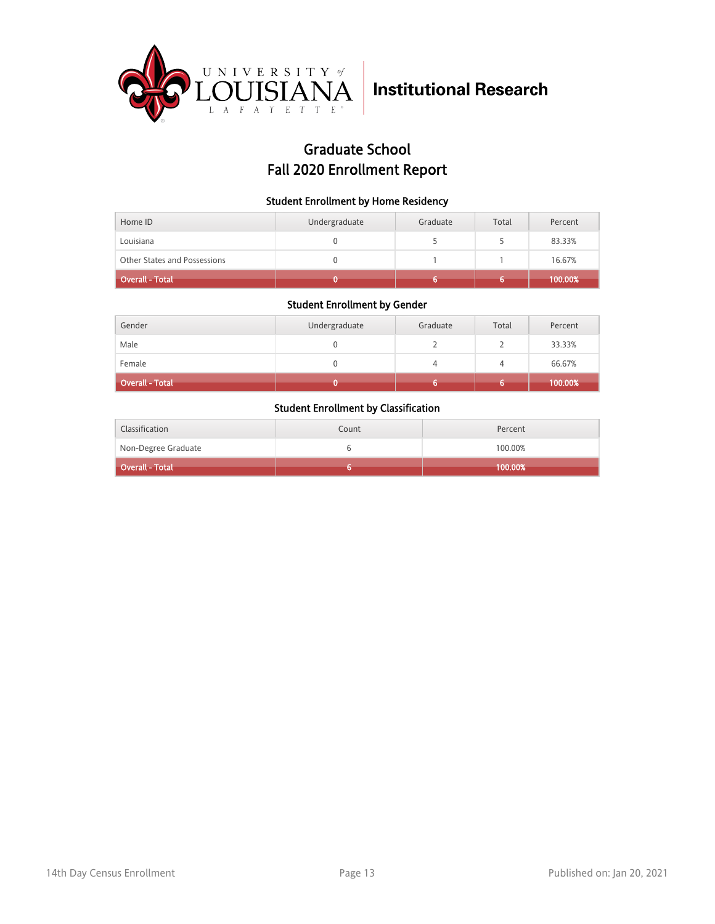

## Graduate School Fall 2020 Enrollment Report

#### Student Enrollment by Home Residency

| Home ID                      | Undergraduate | Graduate | Total | Percent |
|------------------------------|---------------|----------|-------|---------|
| Louisiana                    |               |          |       | 83.33%  |
| Other States and Possessions |               |          |       | 16.67%  |
| Overall - Total              |               |          |       | 100.00% |

#### Student Enrollment by Gender

| Gender                 | Undergraduate | Graduate | Total | Percent |
|------------------------|---------------|----------|-------|---------|
| Male                   | 0             |          |       | 33.33%  |
| Female                 | 0             |          | 4     | 66.67%  |
| <b>Overall - Total</b> |               |          | o     | 100.00% |

| Classification          | Count | Percent |
|-------------------------|-------|---------|
| Non-Degree Graduate     |       | 100.00% |
| <b>Coverall - Total</b> |       | 100.00% |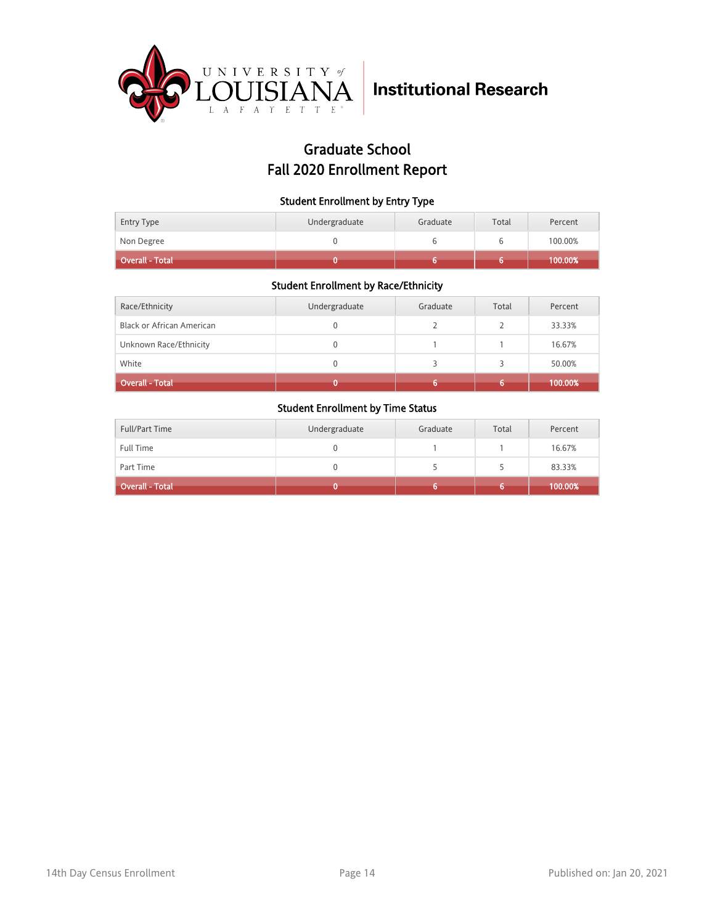

## Graduate School Fall 2020 Enrollment Report

#### Student Enrollment by Entry Type

| <b>Entry Type</b>             | Undergraduate | Graduate | Total | Percent            |
|-------------------------------|---------------|----------|-------|--------------------|
| Non Degree<br>Overall - Total |               |          |       | 100.00%<br>100.00% |

#### Student Enrollment by Race/Ethnicity

| Race/Ethnicity            | Undergraduate | Graduate | Total | Percent |
|---------------------------|---------------|----------|-------|---------|
| Black or African American | 0             |          |       | 33.33%  |
| Unknown Race/Ethnicity    | N             |          |       | 16.67%  |
| White                     | N             |          |       | 50.00%  |
| <b>Overall - Total</b>    |               |          | 6     | 100.00% |

| Full/Part Time         | Undergraduate | Graduate | Total | Percent |
|------------------------|---------------|----------|-------|---------|
| <b>Full Time</b>       |               |          |       | 16.67%  |
| Part Time              |               |          |       | 83.33%  |
| <b>Overall - Total</b> |               |          |       | 100.00% |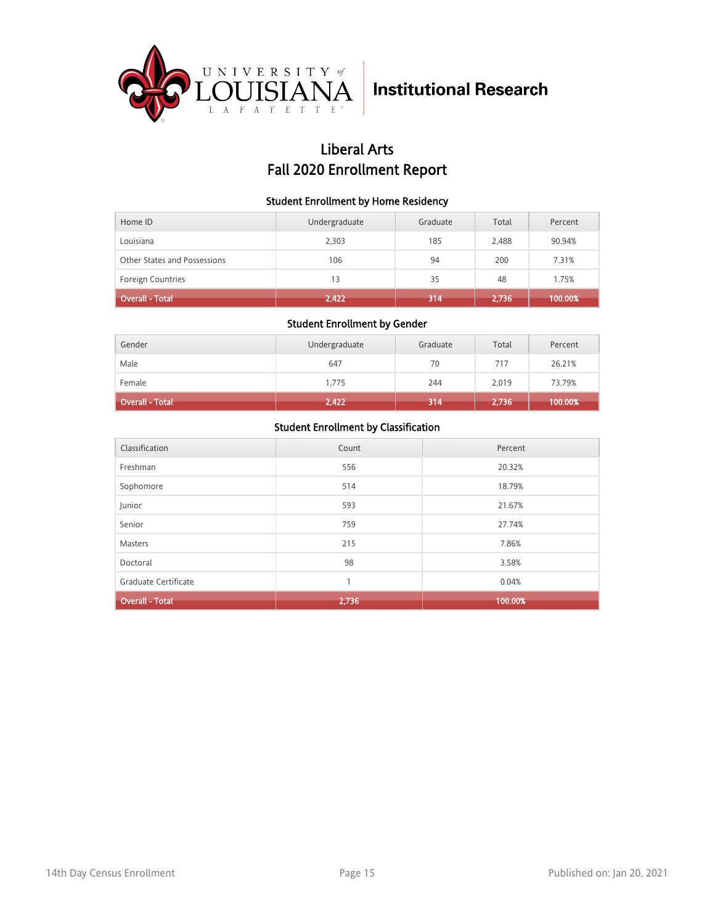

## Liberal Arts Fall 2020 Enrollment Report

#### Student Enrollment by Home Residency

| Home ID                      | Undergraduate | Graduate | Total | Percent |
|------------------------------|---------------|----------|-------|---------|
| Louisiana                    | 2,303         | 185      | 2,488 | 90.94%  |
| Other States and Possessions | 106           | 94       | 200   | 7.31%   |
| <b>Foreign Countries</b>     | 13            | 35       | 48    | 1.75%   |
| <b>Overall - Total</b>       | 2,422         | 314      | 2,736 | 100.00% |

#### Student Enrollment by Gender

| Gender                 | Undergraduate | Graduate | Total | Percent |
|------------------------|---------------|----------|-------|---------|
| Male                   | 647           | 70       | 717   | 26.21%  |
| Female                 | 1,775         | 244      | 2,019 | 73.79%  |
| <b>Overall - Total</b> | 2,422         | 314      | 2,736 | 100.00% |

| Classification         | Count | Percent |
|------------------------|-------|---------|
| Freshman               | 556   | 20.32%  |
| Sophomore              | 514   | 18.79%  |
| Junior                 | 593   | 21.67%  |
| Senior                 | 759   | 27.74%  |
| <b>Masters</b>         | 215   | 7.86%   |
| Doctoral               | 98    | 3.58%   |
| Graduate Certificate   | 1     | 0.04%   |
| <b>Overall - Total</b> | 2,736 | 100.00% |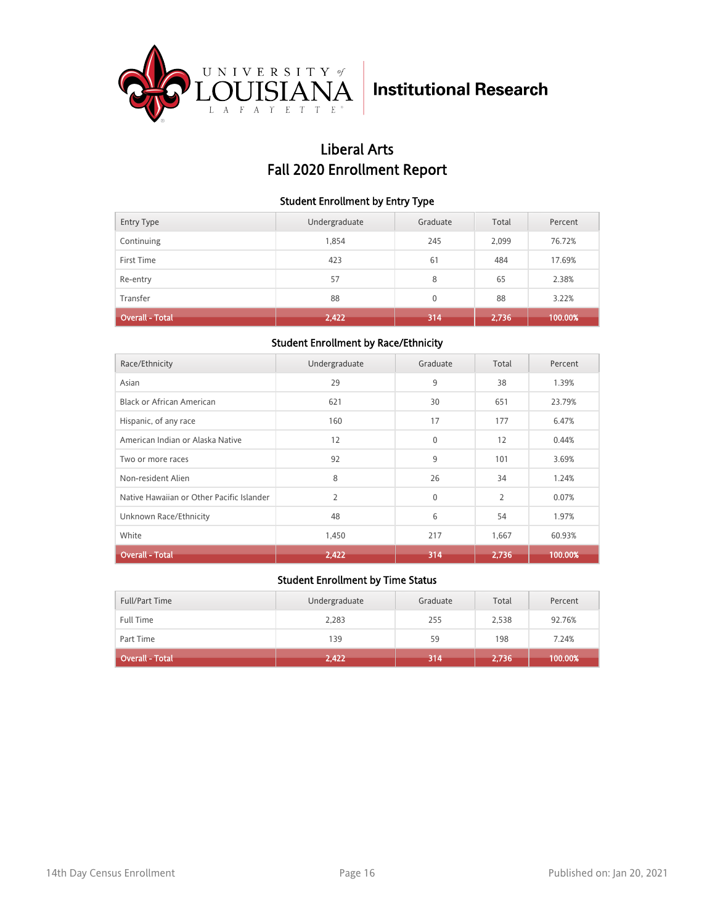

## Liberal Arts Fall 2020 Enrollment Report

#### Student Enrollment by Entry Type

| <b>Entry Type</b>      | Undergraduate | Graduate     | Total | Percent |
|------------------------|---------------|--------------|-------|---------|
| Continuing             | 1,854         | 245          | 2,099 | 76.72%  |
| First Time             | 423           | 61           | 484   | 17.69%  |
| Re-entry               | 57            | 8            | 65    | 2.38%   |
| Transfer               | 88            | $\mathbf{0}$ | 88    | 3.22%   |
| <b>Overall - Total</b> | 2,422         | 314          | 2,736 | 100.00% |

#### Student Enrollment by Race/Ethnicity

| Race/Ethnicity                            | Undergraduate  | Graduate | Total          | Percent |
|-------------------------------------------|----------------|----------|----------------|---------|
| Asian                                     | 29             | 9        | 38             | 1.39%   |
| Black or African American                 | 621            | 30       | 651            | 23.79%  |
| Hispanic, of any race                     | 160            | 17       | 177            | 6.47%   |
| American Indian or Alaska Native          | 12             | $\Omega$ | 12             | 0.44%   |
| Two or more races                         | 92             | 9        | 101            | 3.69%   |
| Non-resident Alien                        | 8              | 26       | 34             | 1.24%   |
| Native Hawaiian or Other Pacific Islander | $\overline{2}$ | $\Omega$ | $\overline{2}$ | 0.07%   |
| Unknown Race/Ethnicity                    | 48             | 6        | 54             | 1.97%   |
| White                                     | 1,450          | 217      | 1,667          | 60.93%  |
| <b>Overall - Total</b>                    | 2,422          | 314      | 2,736          | 100.00% |

| Full/Part Time               | Undergraduate | Graduate | Total | Percent |
|------------------------------|---------------|----------|-------|---------|
| <b>Full Time</b>             | 2,283         | 255      | 2,538 | 92.76%  |
| Part Time                    | 139           | 59       | 198   | 7.24%   |
| Overall - Total <sup>1</sup> | 2,422         | 314      | 2,736 | 100.00% |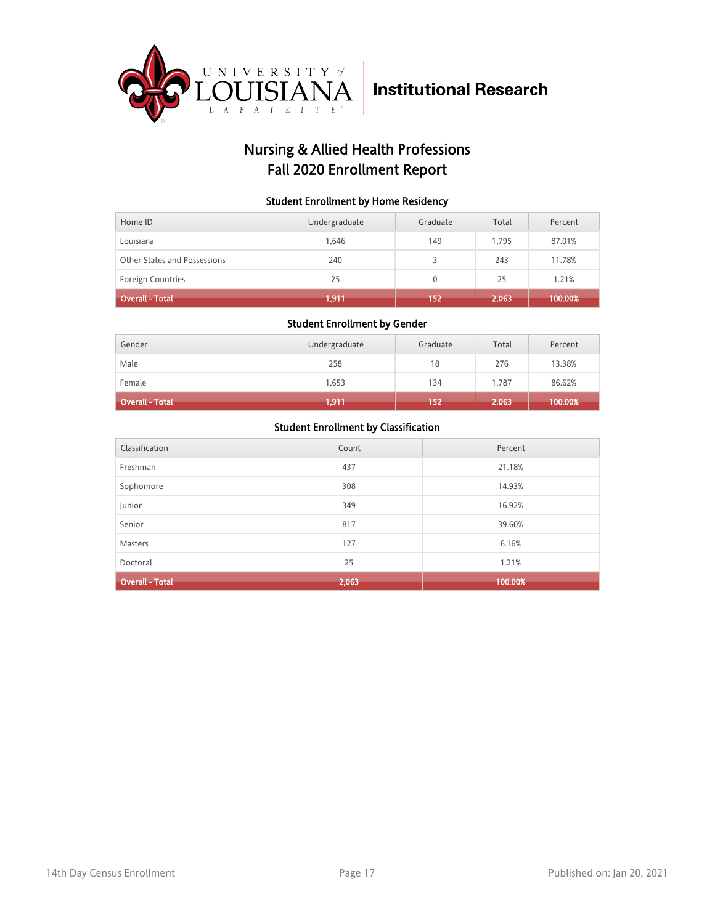

## Nursing & Allied Health Professions Fall 2020 Enrollment Report

#### Student Enrollment by Home Residency

| Home ID                      | Undergraduate | Graduate     | Total | Percent |
|------------------------------|---------------|--------------|-------|---------|
| Louisiana                    | 1.646         | 149          | 1.795 | 87.01%  |
| Other States and Possessions | 240           |              | 243   | 11.78%  |
| <b>Foreign Countries</b>     | 25            | $\mathbf{0}$ | 25    | 1.21%   |
| <b>Overall - Total</b>       | 1,911         | 152          | 2,063 | 100.00% |

#### Student Enrollment by Gender

| Gender                 | Undergraduate | Graduate | Total | Percent |
|------------------------|---------------|----------|-------|---------|
| Male                   | 258           | 18       | 276   | 13.38%  |
| Female                 | 1,653         | 134      | 1,787 | 86.62%  |
| <b>Overall - Total</b> | 1,911         | 152      | 2,063 | 100.00% |

| Classification         | Count | Percent |
|------------------------|-------|---------|
| Freshman               | 437   | 21.18%  |
| Sophomore              | 308   | 14.93%  |
| Junior                 | 349   | 16.92%  |
| Senior                 | 817   | 39.60%  |
| <b>Masters</b>         | 127   | 6.16%   |
| Doctoral               | 25    | 1.21%   |
| <b>Overall - Total</b> | 2,063 | 100.00% |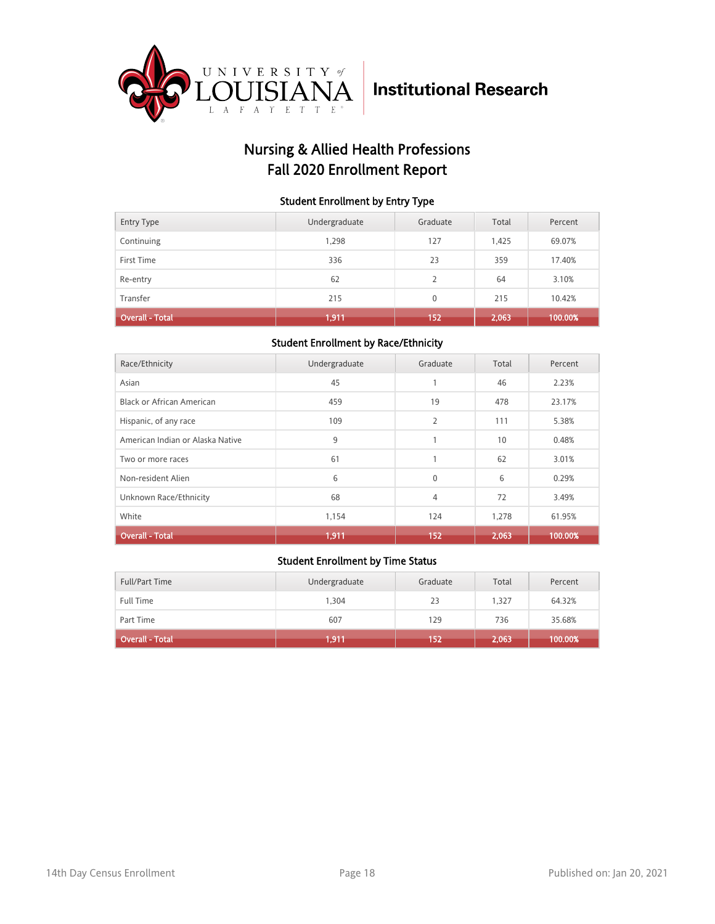

## Nursing & Allied Health Professions Fall 2020 Enrollment Report

#### Student Enrollment by Entry Type

| <b>Entry Type</b> | Undergraduate | Graduate       | Total | Percent |
|-------------------|---------------|----------------|-------|---------|
| Continuing        | 1,298         | 127            | 1,425 | 69.07%  |
| First Time        | 336           | 23             | 359   | 17.40%  |
| Re-entry          | 62            | $\overline{2}$ | 64    | 3.10%   |
| Transfer          | 215           | $\mathbf{0}$   | 215   | 10.42%  |
| Overall - Total   | 1,911         | 152            | 2,063 | 100.00% |

#### Student Enrollment by Race/Ethnicity

| Race/Ethnicity                   | Undergraduate | Graduate       | Total | Percent |
|----------------------------------|---------------|----------------|-------|---------|
| Asian                            | 45            | 1              | 46    | 2.23%   |
| <b>Black or African American</b> | 459           | 19             | 478   | 23.17%  |
| Hispanic, of any race            | 109           | $\overline{2}$ | 111   | 5.38%   |
| American Indian or Alaska Native | 9             | 1              | 10    | 0.48%   |
| Two or more races                | 61            | 1              | 62    | 3.01%   |
| Non-resident Alien               | 6             | $\mathbf{0}$   | 6     | 0.29%   |
| Unknown Race/Ethnicity           | 68            | 4              | 72    | 3.49%   |
| White                            | 1,154         | 124            | 1,278 | 61.95%  |
| <b>Overall - Total</b>           | 1,911         | 152            | 2,063 | 100.00% |

| Full/Part Time         | Undergraduate | Graduate | Total | Percent |
|------------------------|---------------|----------|-------|---------|
| <b>Full Time</b>       | 1,304         | 23       | 1.327 | 64.32%  |
| Part Time              | 607           | 129      | 736   | 35.68%  |
| <b>Overall - Total</b> | 1,911         | 152      | 2,063 | 100.00% |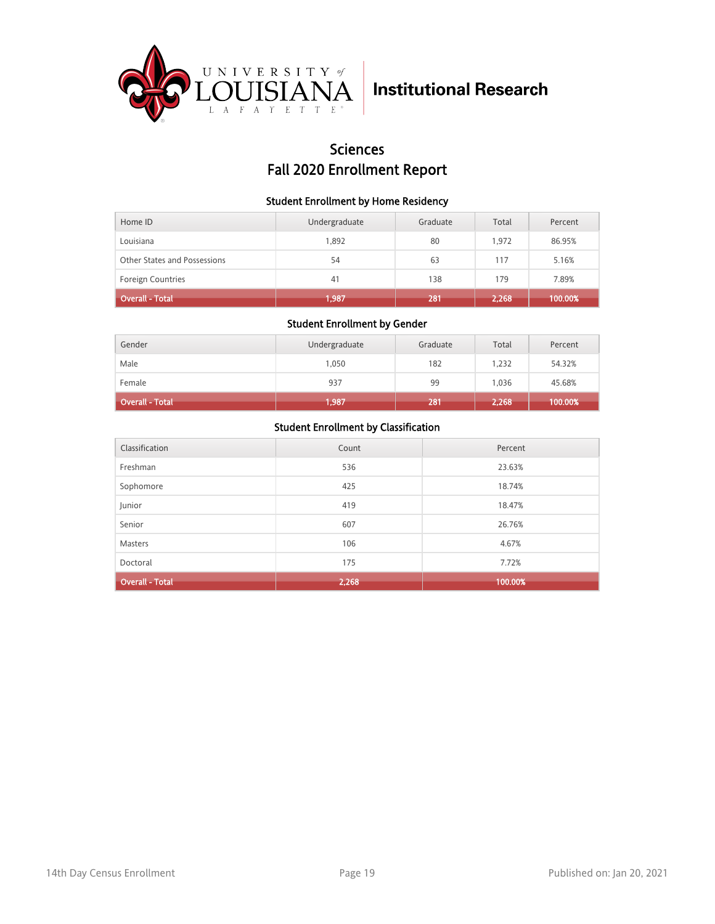

### **Sciences** Fall 2020 Enrollment Report

#### Student Enrollment by Home Residency

| Home ID                      | Undergraduate | Graduate | Total | Percent |
|------------------------------|---------------|----------|-------|---------|
| Louisiana                    | 1.892         | 80       | 1.972 | 86.95%  |
| Other States and Possessions | 54            | 63       | 117   | 5.16%   |
| <b>Foreign Countries</b>     | 41            | 138      | 179   | 7.89%   |
| <b>Overall - Total</b>       | 1,987         | 281      | 2,268 | 100.00% |

#### Student Enrollment by Gender

| Gender                 | Undergraduate | Graduate | Total | Percent |
|------------------------|---------------|----------|-------|---------|
| Male                   | 1,050         | 182      | 1,232 | 54.32%  |
| Female                 | 937           | 99       | 1,036 | 45.68%  |
| <b>Overall - Total</b> | 1,987         | 281      | 2,268 | 100.00% |

| Classification         | Count | Percent |
|------------------------|-------|---------|
| Freshman               | 536   | 23.63%  |
| Sophomore              | 425   | 18.74%  |
| Junior                 | 419   | 18.47%  |
| Senior                 | 607   | 26.76%  |
| <b>Masters</b>         | 106   | 4.67%   |
| Doctoral               | 175   | 7.72%   |
| <b>Overall - Total</b> | 2,268 | 100.00% |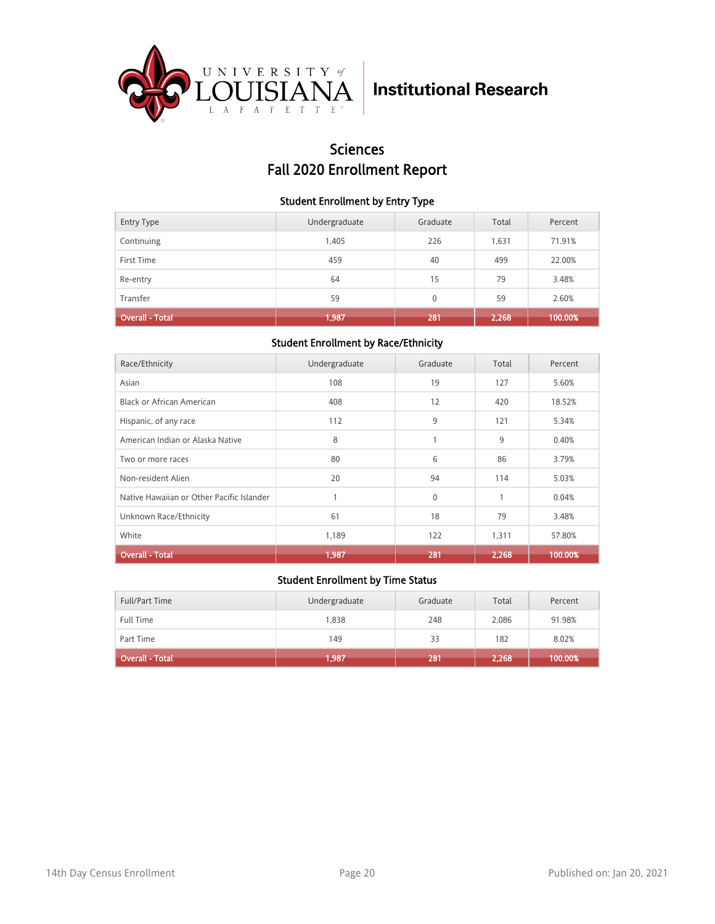

## Sciences Fall 2020 Enrollment Report

#### Student Enrollment by Entry Type

| <b>Entry Type</b>      | Undergraduate | Graduate | Total | Percent |
|------------------------|---------------|----------|-------|---------|
| Continuing             | 1,405         | 226      | 1,631 | 71.91%  |
| First Time             | 459           | 40       | 499   | 22.00%  |
| Re-entry               | 64            | 15       | 79    | 3.48%   |
| Transfer               | 59            | $\Omega$ | 59    | 2.60%   |
| <b>Overall - Total</b> | 1,987         | 281      | 2,268 | 100.00% |

#### Student Enrollment by Race/Ethnicity

| Race/Ethnicity                            | Undergraduate | Graduate | Total | Percent |
|-------------------------------------------|---------------|----------|-------|---------|
| Asian                                     | 108           | 19       | 127   | 5.60%   |
| Black or African American                 | 408           | 12       | 420   | 18.52%  |
| Hispanic, of any race                     | 112           | 9        | 121   | 5.34%   |
| American Indian or Alaska Native          | 8             | 1        | 9     | 0.40%   |
| Two or more races                         | 80            | 6        | 86    | 3.79%   |
| Non-resident Alien                        | 20            | 94       | 114   | 5.03%   |
| Native Hawaiian or Other Pacific Islander |               | $\Omega$ | 1     | 0.04%   |
| Unknown Race/Ethnicity                    | 61            | 18       | 79    | 3.48%   |
| White                                     | 1,189         | 122      | 1,311 | 57.80%  |
| <b>Overall - Total</b>                    | 1,987         | 281      | 2,268 | 100.00% |

| Full/Part Time               | Undergraduate | Graduate | Total | Percent |
|------------------------------|---------------|----------|-------|---------|
| <b>Full Time</b>             | 1,838         | 248      | 2.086 | 91.98%  |
| Part Time                    | 149           | 33       | 182   | 8.02%   |
| Overall - Total <sup>1</sup> | 1,987         | 281      | 2,268 | 100.00% |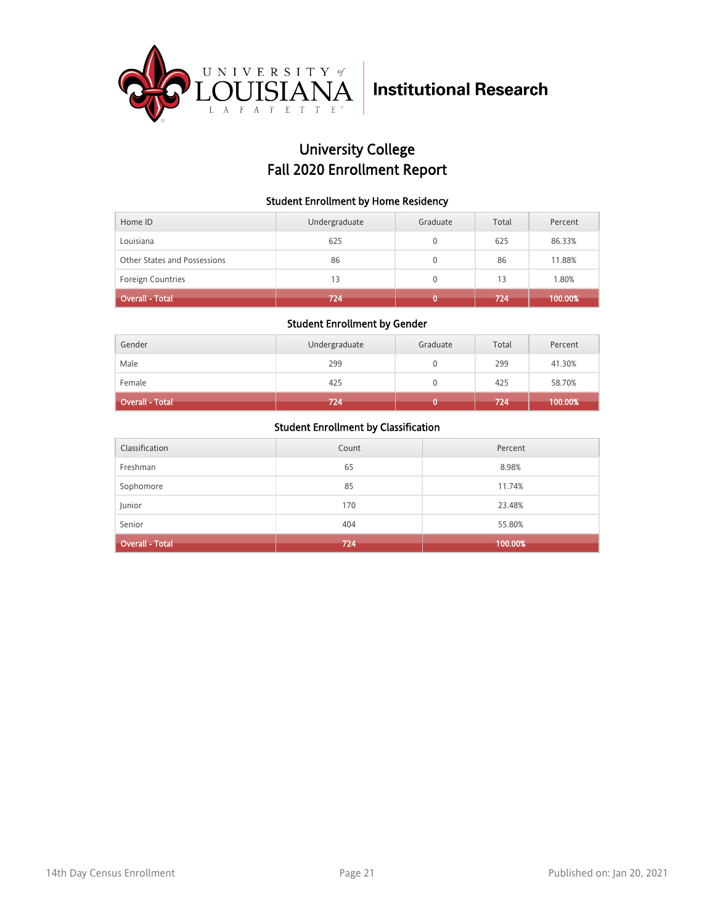

## University College Fall 2020 Enrollment Report

#### Student Enrollment by Home Residency

| Home ID                      | Undergraduate | Graduate | Total | Percent |
|------------------------------|---------------|----------|-------|---------|
| Louisiana                    | 625           |          | 625   | 86.33%  |
| Other States and Possessions | 86            |          | 86    | 11.88%  |
| <b>Foreign Countries</b>     | 13            | 0        | 13    | 1.80%   |
| <b>Overall - Total</b>       | 724           |          | 724   | 100.00% |

#### Student Enrollment by Gender

| Gender                 | Undergraduate | Graduate | Total | Percent |
|------------------------|---------------|----------|-------|---------|
| Male                   | 299           |          | 299   | 41.30%  |
| Female                 | 425           |          | 425   | 58.70%  |
| <b>Overall - Total</b> | 724           |          | 724   | 100.00% |

| Classification         | Count | Percent |
|------------------------|-------|---------|
| Freshman               | 65    | 8.98%   |
| Sophomore              | 85    | 11.74%  |
| Junior                 | 170   | 23.48%  |
| Senior                 | 404   | 55.80%  |
| <b>Overall - Total</b> | 724   | 100.00% |